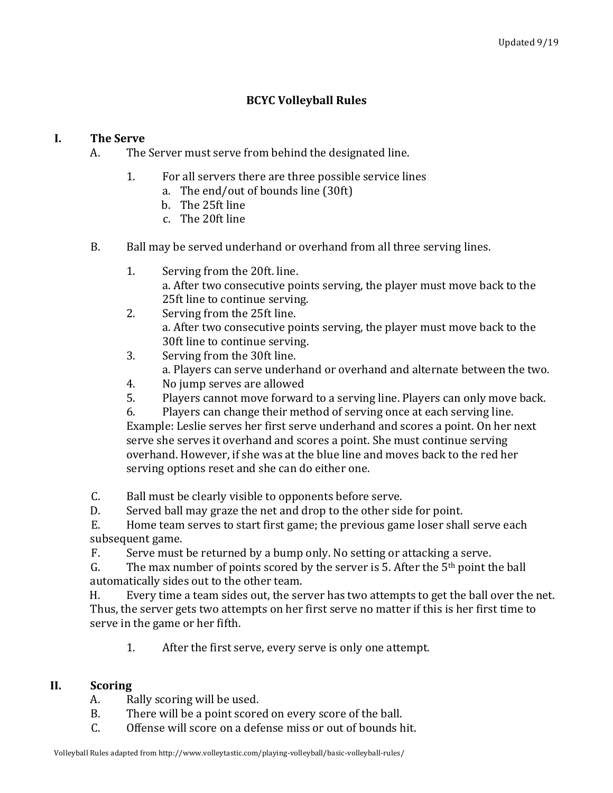# **BCYC Volleyball Rules**

### **I. The Serve**

- A. The Server must serve from behind the designated line.
	- 1. For all servers there are three possible service lines
		- a. The end/out of bounds line  $(30ft)$
		- b. The 25ft line
		- c. The 20ft line
- B. Ball may be served underhand or overhand from all three serving lines.
	- 1. Serving from the 20ft. line. a. After two consecutive points serving, the player must move back to the 25ft line to continue serving.
	- 2. Serving from the 25ft line. a. After two consecutive points serving, the player must move back to the 30ft line to continue serving.
	- 3. Serving from the 30ft line. a. Players can serve underhand or overhand and alternate between the two.
	- 4. No jump serves are allowed<br>5. Plavers cannot move forwar
	- 5. Players cannot move forward to a serving line. Players can only move back.<br>6. Players can change their method of serving once at each serving line.
	- Players can change their method of serving once at each serving line.

Example: Leslie serves her first serve underhand and scores a point. On her next serve she serves it overhand and scores a point. She must continue serving overhand. However, if she was at the blue line and moves back to the red her serving options reset and she can do either one.

C. Ball must be clearly visible to opponents before serve.<br>D. Served ball may graze the net and drop to the other side

D. Served ball may graze the net and drop to the other side for point.<br>E. Home team serves to start first game: the previous game loser shall

Home team serves to start first game; the previous game loser shall serve each subsequent game.

F. Serve must be returned by a bump only. No setting or attacking a serve.<br>G. The max number of points scored by the server is 5. After the  $5<sup>th</sup>$  point tl

The max number of points scored by the server is 5. After the  $5<sup>th</sup>$  point the ball automatically sides out to the other team.

H. Every time a team sides out, the server has two attempts to get the ball over the net. Thus, the server gets two attempts on her first serve no matter if this is her first time to serve in the game or her fifth.

1. After the first serve, every serve is only one attempt.

## **II. Scoring**

- A. Rally scoring will be used.<br>B. There will be a point score
- B. There will be a point scored on every score of the ball.<br>C. Offense will score on a defense miss or out of bounds h
- Offense will score on a defense miss or out of bounds hit.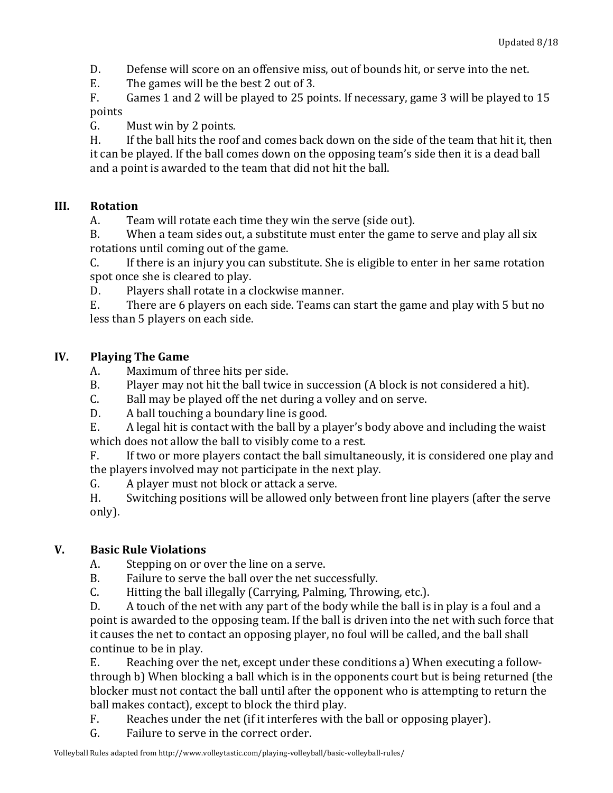D. Defense will score on an offensive miss, out of bounds hit, or serve into the net.

 $E.$  The games will be the best 2 out of 3.

F. Games 1 and 2 will be played to 25 points. If necessary, game 3 will be played to 15 points

G. Must win by 2 points.

H. If the ball hits the roof and comes back down on the side of the team that hit it, then it can be played. If the ball comes down on the opposing team's side then it is a dead ball and a point is awarded to the team that did not hit the ball.

## **III. Rotation**

A. Team will rotate each time they win the serve (side out).

B. When a team sides out, a substitute must enter the game to serve and play all six rotations until coming out of the game.

C. If there is an injury you can substitute. She is eligible to enter in her same rotation spot once she is cleared to play.

D. Players shall rotate in a clockwise manner.

 $E.$  There are 6 players on each side. Teams can start the game and play with 5 but no less than 5 players on each side.

# **IV. Playing The Game**

- A. Maximum of three hits per side.
- B. Player may not hit the ball twice in succession (A block is not considered a hit).
- $C.$  Ball may be played off the net during a volley and on serve.
- D. A ball touching a boundary line is good.

 $E.$  A legal hit is contact with the ball by a player's body above and including the waist which does not allow the ball to visibly come to a rest.

F. If two or more players contact the ball simultaneously, it is considered one play and the players involved may not participate in the next play.

G. A player must not block or attack a serve.

H. Switching positions will be allowed only between front line players (after the serve only).

# **V. Basic Rule Violations**

A. Stepping on or over the line on a serve.

B. Failure to serve the ball over the net successfully.

C. Hitting the ball illegally (Carrying, Palming, Throwing, etc.).

D. A touch of the net with any part of the body while the ball is in play is a foul and a point is awarded to the opposing team. If the ball is driven into the net with such force that it causes the net to contact an opposing player, no foul will be called, and the ball shall continue to be in play.

E. Reaching over the net, except under these conditions a) When executing a followthrough b) When blocking a ball which is in the opponents court but is being returned (the blocker must not contact the ball until after the opponent who is attempting to return the ball makes contact), except to block the third play.

- $F.$  Reaches under the net (if it interferes with the ball or opposing player).
- G. Failure to serve in the correct order.